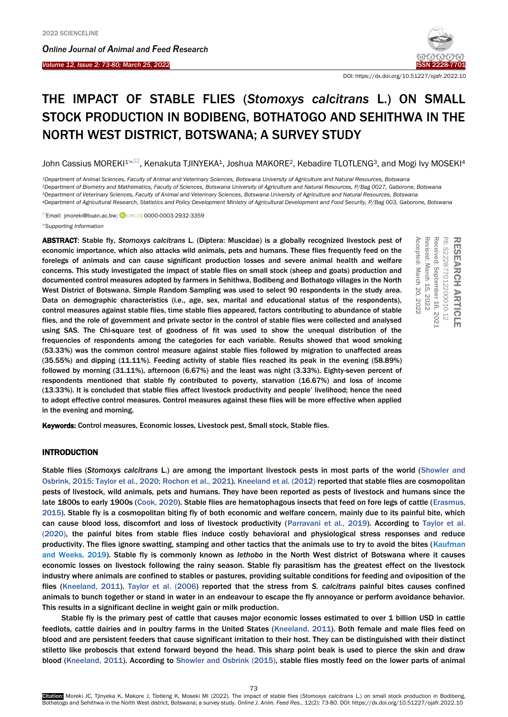Ī

*Online Journal of A[nimal and](http://www.ojafr.ir/main/) Feed Research Volume 12, Issue 2: 73-80; March 25, 2022* [ISSN 2228-7701](mailto:www.ojafr.ir)



DOI[: https://dx.doi.org/10.51227/ojafr.2022.10](https://dx.doi.org/10.51227/ojafr.2022.10)

# THE IMPACT OF STABLE FLIES (*Stomoxys calcitrans* L.) ON SMALL STOCK PRODUCTION IN BODIBENG, BOTHATOGO AND SEHITHWA IN THE NORTH WEST DISTRICT, BOTSWANA; A SURVEY STUDY

John Cassius MOREKI<sup>1</sup><sup>N</sup>, Kenakuta TJINYEKA<sup>1</sup>, Joshua MAKORE<sup>2</sup>, Kebadire TLOTLENG<sup>3</sup>, and Mogi Ivy MOSEKI<sup>4</sup>

 *<sup>1</sup>Department of Animal Sciences, Faculty of Animal and Veterinary Sciences, Botswana University of Agriculture and Natural Resources, Botswan[a](https://orcid.org/0000-0003-2932-3359) Department of Biometry and Mathematics, Faculty of Sciences, Botswana University of Agriculture and Natural Resources, P/Bag 0027, Gaborone, Botswana Department of Veterinary Sciences, Faculty of Animal and Veterinary Sciences, Botswana University of Agriculture and Natural Resources, Botswana Department of Agricultural Research, Statistics and Policy Development Ministry of Agricultural Development and Food Security, P/Bag 003, Gaborone, Botswana*

Email: jmoreki@buan.ac.bw; **DORCID: 0000-0003-2932-3359** 

*Supporting Information*

ABSTRACT: Stable fly, *Stomoxys calcitrans* L. (Diptera: Muscidae) is a globally recognized livestock pest of economic importance, which also attacks wild animals, pets and humans. These flies frequently feed on the forelegs of animals and can cause significant production losses and severe animal health and welfare concerns. This study investigated the impact of stable flies on small stock (sheep and goats) production and documented control measures adopted by farmers in Sehithwa, Bodibeng and Bothatogo villages in the North West District of Botswana. Simple Random Sampling was used to select 90 respondents in the study area. Data on demographic characteristics (i.e., age, sex, marital and educational status of the respondents), control measures against stable flies, time stable flies appeared, factors contributing to abundance of stable flies, and the role of government and private sector in the control of stable flies were collected and analysed using SAS. The Chi-square test of goodness of fit was used to show the unequal distribution of the frequencies of respondents among the categories for each variable. Results showed that wood smoking (53.33%) was the common control measure against stable flies followed by migration to unaffected areas (35.55%) and dipping (11.11%). Feeding activity of stable flies reached its peak in the evening (58.89%) followed by morning (31.11%), afternoon (6.67%) and the least was night (3.33%). Eighty-seven percent of respondents mentioned that stable fly contributed to poverty, starvation (16.67%) and loss of income (13.33%). It is concluded that stable flies affect livestock productivity and people' livelihood; hence the need to adopt effective control measures. Control measures against these flies will be more effective when applied in the evening and morning. **ABSTRACT:** Stable fly, Stomoxys calcitrans L. (Diptera: Muscidae) is a globally recognized livestock pest of frequently frequently frequently frequently frequently frequently from the actual stock will alimatal, pets and

# INTRODUCTION

Stable flies (*Stomoxys calcitrans* L.) are among the important livestock pests in most parts of the world (Showler and Osbrink, 2015; Taylor et al., 2020; Rochon et al., 2021). Kneeland et al. (2012) reported that stable flies are cosmopolitan pests of livestock, wild animals, pets and humans. They have been reported as pests of livestock and humans since the late 1800s to early 1900s (Cook, 2020). Stable flies are hematophagous insects that feed on fore legs of cattle (Erasmus, 2015). Stable fly is a cosmopolitan biting fly of both economic and welfare concern, mainly due to its painful bite, which can cause blood loss, discomfort and loss of livestock productivity (Parravani et al., 2019). According to Taylor et al. (2020), the painful bites from stable flies induce costly behavioral and physiological stress responses and reduce productivity. The flies ignore swatting, stamping and other tactics that the animals use to try to avoid the bites (Kaufman and Weeks, 2019). Stable fly is commonly known as *lethobo* in the North West district of Botswana where it causes economic losses on livestock following the rainy season. Stable fly parasitism has the greatest effect on the livestock industry where animals are confined to stables or pastures, providing suitable conditions for feeding and oviposition of the flies (Kneeland, 2011). Taylor et al. (2006) reported that the stress from *S. calcitrans* painful bites causes confined animals to bunch together or stand in water in an endeavour to escape the fly annoyance or perform avoidance behavior. This results in a significant decline in weight gain or milk production.

Stable fly is the primary pest of cattle that causes major economic losses estimated to over 1 billion USD in cattle feedlots, cattle dairies and in poultry farms in the United States (Kneeland, 2011). Both female and male flies feed on blood and are persistent feeders that cause significant irritation to their host. They can be distinguished with their distinct stiletto like proboscis that extend forward beyond the head. This sharp point beak is used to pierce the skin and draw blood (Kneeland, 2011). According to Showler and Osbrink (2015), stable flies mostly feed on the lower parts of animal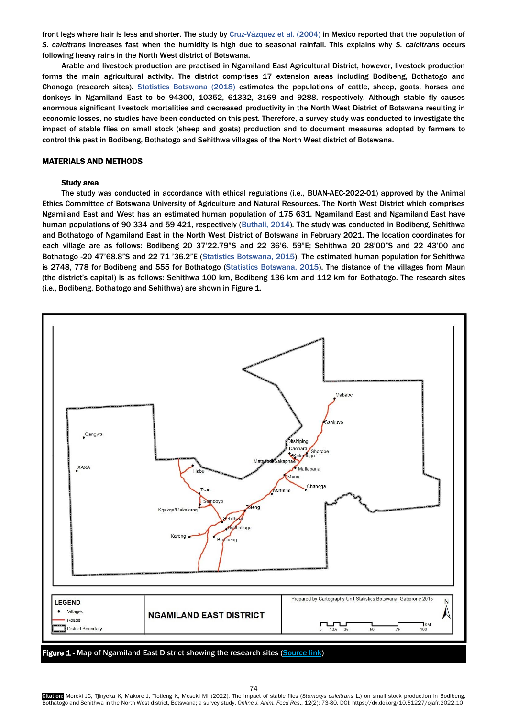front legs where hair is less and shorter. The study by Cruz-Vázquez et al. (2004) in Mexico reported that the population of *S. calcitrans* increases fast when the humidity is high due to seasonal rainfall. This explains why *S. calcitrans* occurs following heavy rains in the North West district of Botswana.

Arable and livestock production are practised in Ngamiland East Agricultural District, however, livestock production forms the main agricultural activity. The district comprises 17 extension areas including Bodibeng, Bothatogo and Chanoga (research sites). Statistics Botswana (2018) estimates the populations of cattle, sheep, goats, horses and donkeys in Ngamiland East to be 94300, 10352, 61332, 3169 and 9288, respectively. Although stable fly causes enormous significant livestock mortalities and decreased productivity in the North West District of Botswana resulting in economic losses, no studies have been conducted on this pest. Therefore, a survey study was conducted to investigate the impact of stable flies on small stock (sheep and goats) production and to document measures adopted by farmers to control this pest in Bodibeng, Bothatogo and Sehithwa villages of the North West district of Botswana.

# MATERIALS AND METHODS

# Study area

The study was conducted in accordance with ethical regulations (i.e., BUAN-AEC-2022-01) approved by the Animal Ethics Committee of Botswana University of Agriculture and Natural Resources. The North West District which comprises Ngamiland East and West has an estimated human population of 175 631. Ngamiland East and Ngamiland East have human populations of 90 334 and 59 421, respectively (Buthali, 2014). The study was conducted in Bodibeng, Sehithwa and Bothatogo of Ngamiland East in the North West District of Botswana in February 2021. The location coordinates for each village are as follows: Bodibeng 20 37'22.79"S and 22 36'6. 59"E; Sehithwa 20 28'00"S and 22 43'00 and Bothatogo -20 47'68.8"S and 22 71 '36.2"E (Statistics Botswana, 2015). The estimated human population for Sehithwa is 2748, 778 for Bodibeng and 555 for Bothatogo (Statistics Botswana, 2015). The distance of the villages from Maun (the district's capital) is as follows: Sehithwa 100 km, Bodibeng 136 km and 112 km for Bothatogo. The research sites (i.e., Bodibeng, Bothatogo and Sehithwa) are shown in Figure 1.



Citation: Moreki JC, Tjinyeka K, Makore J, Tlotleng K, Moseki MI (2022). The impact of stable flies (*Stomoxys calcitrans* L.) on small stock production in Bodibeng, Bothatogo and Sehithwa in the North West district, Botswana; a survey study. *Online J. Anim. Feed Res*., 12(2): 73-80. DOI: https://dx.doi.org/10.51227/ojafr.2022.10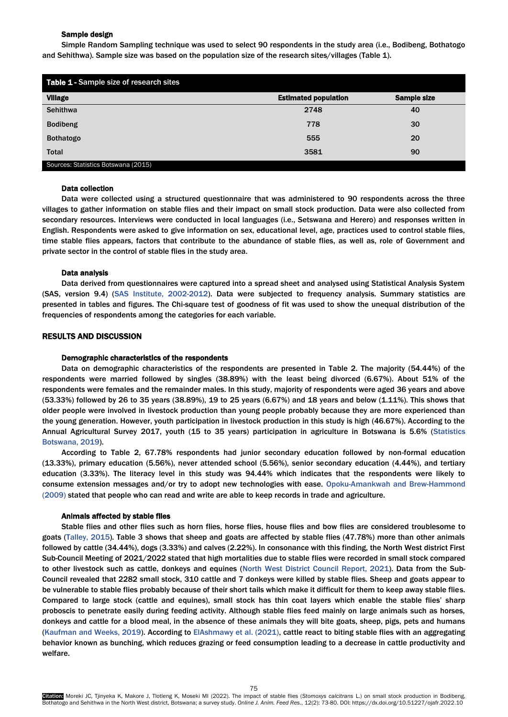# Sample design

Simple Random Sampling technique was used to select 90 respondents in the study area (i.e., Bodibeng, Bothatogo and Sehithwa). Sample size was based on the population size of the research sites/villages (Table 1).

| Table 1 - Sample size of research sites |                             |                    |  |
|-----------------------------------------|-----------------------------|--------------------|--|
| <b>Village</b>                          | <b>Estimated population</b> | <b>Sample size</b> |  |
| <b>Sehithwa</b>                         | 2748                        | 40                 |  |
| <b>Bodibeng</b>                         | 778                         | 30                 |  |
| <b>Bothatogo</b>                        | 555                         | 20                 |  |
| <b>Total</b>                            | 3581                        | 90                 |  |
| Sources: Statistics Botswana (2015)     |                             |                    |  |

#### Data collection

Data were collected using a structured questionnaire that was administered to 90 respondents across the three villages to gather information on stable flies and their impact on small stock production. Data were also collected from secondary resources. Interviews were conducted in local languages (i.e., Setswana and Herero) and responses written in English. Respondents were asked to give information on sex, educational level, age, practices used to control stable flies, time stable flies appears, factors that contribute to the abundance of stable flies, as well as, role of Government and private sector in the control of stable flies in the study area.

#### Data analysis

Data derived from questionnaires were captured into a spread sheet and analysed using Statistical Analysis System (SAS, version 9.4) (SAS Institute, 2002-2012). Data were subjected to frequency analysis. Summary statistics are presented in tables and figures. The Chi-square test of goodness of fit was used to show the unequal distribution of the frequencies of respondents among the categories for each variable.

## RESULTS AND DISCUSSION

#### Demographic characteristics of the respondents

Data on demographic characteristics of the respondents are presented in Table 2. The majority (54.44%) of the respondents were married followed by singles (38.89%) with the least being divorced (6.67%). About 51% of the respondents were females and the remainder males. In this study, majority of respondents were aged 36 years and above (53.33%) followed by 26 to 35 years (38.89%), 19 to 25 years (6.67%) and 18 years and below (1.11%). This shows that older people were involved in livestock production than young people probably because they are more experienced than the young generation. However, youth participation in livestock production in this study is high (46.67%). According to the Annual Agricultural Survey 2017, youth (15 to 35 years) participation in agriculture in Botswana is 5.6% (Statistics Botswana, 2019).

According to Table 2, 67.78% respondents had junior secondary education followed by non-formal education (13.33%), primary education (5.56%), never attended school (5.56%), senior secondary education (4.44%), and tertiary education (3.33%). The literacy level in this study was 94.44% which indicates that the respondents were likely to consume extension messages and/or try to adopt new technologies with ease. Opoku-Amankwah and Brew-Hammond (2009) stated that people who can read and write are able to keep records in trade and agriculture.

# Animals affected by stable flies

Stable flies and other flies such as horn flies, horse flies, house flies and bow flies are considered troublesome to goats (Talley, 2015). Table 3 shows that sheep and goats are affected by stable flies (47.78%) more than other animals followed by cattle (34.44%), dogs (3.33%) and calves (2.22%). In consonance with this finding, the North West district First Sub-Council Meeting of 2021/2022 stated that high mortalities due to stable flies were recorded in small stock compared to other livestock such as cattle, donkeys and equines (North West District Council Report, 2021). Data from the Sub-Council revealed that 2282 small stock, 310 cattle and 7 donkeys were killed by stable flies. Sheep and goats appear to be vulnerable to stable flies probably because of their short tails which make it difficult for them to keep away stable flies. Compared to large stock (cattle and equines), small stock has thin coat layers which enable the stable flies' sharp proboscis to penetrate easily during feeding activity. Although stable flies feed mainly on large animals such as horses, donkeys and cattle for a blood meal, in the absence of these animals they will bite goats, sheep, pigs, pets and humans (Kaufman and Weeks, 2019). According to ElAshmawy et al. (2021), cattle react to biting stable flies with an aggregating behavior known as bunching, which reduces grazing or feed consumption leading to a decrease in cattle productivity and welfare.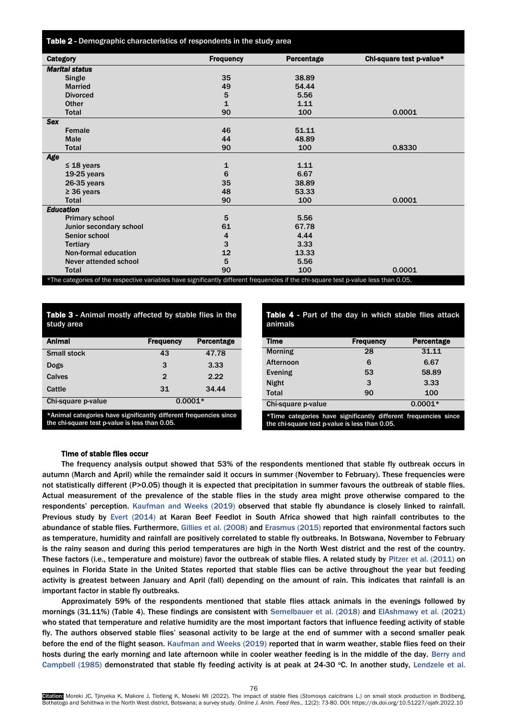Table 2 - Demographic characteristics of respondents in the study area

| Category                                                                                                                            |                         | <b>Frequency</b> | Percentage | Chi-square test p-value* |
|-------------------------------------------------------------------------------------------------------------------------------------|-------------------------|------------------|------------|--------------------------|
| <b>Marital status</b>                                                                                                               |                         |                  |            |                          |
|                                                                                                                                     | Single                  | 35               | 38.89      |                          |
|                                                                                                                                     | <b>Married</b>          | 49               | 54.44      |                          |
|                                                                                                                                     | <b>Divorced</b>         | 5                | 5.56       |                          |
|                                                                                                                                     | Other                   | $\mathbf{1}$     | 1.11       |                          |
|                                                                                                                                     | <b>Total</b>            | 90               | 100        | 0.0001                   |
| <b>Sex</b>                                                                                                                          |                         |                  |            |                          |
|                                                                                                                                     | Female                  | 46               | 51.11      |                          |
|                                                                                                                                     | <b>Male</b>             | 44               | 48.89      |                          |
|                                                                                                                                     | Total                   | 90               | 100        | 0.8330                   |
| Age                                                                                                                                 |                         |                  |            |                          |
|                                                                                                                                     | $\leq$ 18 years         | 1                | 1.11       |                          |
|                                                                                                                                     | $19-25$ years           | 6                | 6.67       |                          |
|                                                                                                                                     | 26-35 years             | 35               | 38.89      |                          |
|                                                                                                                                     | $\geq$ 36 years         | 48               | 53.33      |                          |
|                                                                                                                                     | <b>Total</b>            | 90               | 100        | 0.0001                   |
| <b>Education</b>                                                                                                                    |                         |                  |            |                          |
|                                                                                                                                     | <b>Primary school</b>   | 5                | 5.56       |                          |
|                                                                                                                                     | Junior secondary school | 61               | 67.78      |                          |
|                                                                                                                                     | Senior school           | 4                | 4.44       |                          |
|                                                                                                                                     | <b>Tertiary</b>         | 3                | 3.33       |                          |
|                                                                                                                                     | Non-formal education    | 12               | 13.33      |                          |
|                                                                                                                                     | Never attended school   | 5                | 5.56       |                          |
|                                                                                                                                     | <b>Total</b>            | 90               | 100        | 0.0001                   |
| *The categories of the respective variables have significantly different frequencies if the chi-square test p-value less than 0.05. |                         |                  |            |                          |

# Table 3 - Animal mostly affected by stable flies in the study area

| <b>Animal</b>      | <b>Frequency</b> | Percentage |
|--------------------|------------------|------------|
| <b>Small stock</b> | 43               | 47.78      |
| Dogs               | 3                | 3.33       |
| Calves             | $\overline{2}$   | 2.22       |
| Cattle             | 31               | 34.44      |
| Chi-square p-value |                  | $0.0001*$  |

\*Animal categories have significantly different frequencies since the chi-square test p-value is less than 0.05.

| <b>Table 4 - Part of the day in which stable flies attack</b><br>animals |                  |                   |  |
|--------------------------------------------------------------------------|------------------|-------------------|--|
| Time                                                                     | <b>Frequency</b> | <b>Percentage</b> |  |
| <b>Morning</b>                                                           | 28               | 31.11             |  |
| Afternoon                                                                | 6                | 6.67              |  |
| Evening                                                                  | 53               | 58.89             |  |
| <b>Night</b>                                                             | 3                | 3.33              |  |
| Total                                                                    | 90               | 100               |  |
| Chi-square p-value                                                       |                  | $0.0001*$         |  |
| *Time categories have significantly different frequencies since          |                  |                   |  |

the chi-square test p-value is less than 0.05.

#### Time of stable flies occur

The frequency analysis output showed that 53% of the respondents mentioned that stable fly outbreak occurs in autumn (March and April) while the remainder said it occurs in summer (November to February). These frequencies were not statistically different (P>0.05) though it is expected that precipitation in summer favours the outbreak of stable flies. Actual measurement of the prevalence of the stable flies in the study area might prove otherwise compared to the respondents' perception. Kaufman and Weeks (2019) observed that stable fly abundance is closely linked to rainfall. Previous study by Evert (2014) at Karan Beef Feedlot in South Africa showed that high rainfall contributes to the abundance of stable flies. Furthermore, Gillies et al. (2008) and Erasmus (2015) reported that environmental factors such as temperature, humidity and rainfall are positively correlated to stable fly outbreaks. In Botswana, November to February is the rainy season and during this period temperatures are high in the North West district and the rest of the country. These factors (i.e., temperature and moisture) favor the outbreak of stable flies. A related study by Pitzer et al. (2011) on equines in Florida State in the United States reported that stable flies can be active throughout the year but feeding activity is greatest between January and April (fall) depending on the amount of rain. This indicates that rainfall is an important factor in stable fly outbreaks.

Approximately 59% of the respondents mentioned that stable flies attack animals in the evenings followed by mornings (31.11%) (Table 4). These findings are consistent with Semelbauer et al. (2018) and ElAshmawy et al. (2021) who stated that temperature and relative humidity are the most important factors that influence feeding activity of stable fly. The authors observed stable flies' seasonal activity to be large at the end of summer with a second smaller peak before the end of the flight season. Kaufman and Weeks (2019) reported that in warm weather, stable flies feed on their hosts during the early morning and late afternoon while in cooler weather feeding is in the middle of the day. Berry and Campbell (1985) demonstrated that stable fly feeding activity is at peak at 24-30  $°C$ . In another study, Lendzele et al.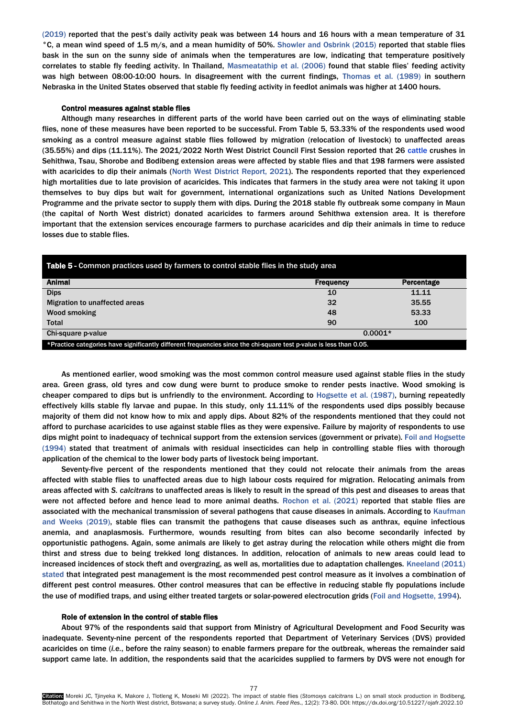(2019) reported that the pest's daily activity peak was between 14 hours and 16 hours with a mean temperature of 31 °C, a mean wind speed of 1.5 m/s, and a mean humidity of 50%. Showler and Osbrink (2015) reported that stable flies bask in the sun on the sunny side of animals when the temperatures are low, indicating that temperature positively correlates to stable fly feeding activity. In Thailand, Masmeatathip et al. (2006) found that stable flies' feeding activity was high between 08:00-10:00 hours. In disagreement with the current findings, Thomas et al. (1989) in southern Nebraska in the United States observed that stable fly feeding activity in feedlot animals was higher at 1400 hours.

#### Control measures against stable flies

Although many researches in different parts of the world have been carried out on the ways of eliminating stable flies, none of these measures have been reported to be successful. From Table 5, 53.33% of the respondents used wood smoking as a control measure against stable flies followed by migration (relocation of livestock) to unaffected areas (35.55%) and dips (11.11%). The 2021/2022 North West District Council First Session reported that 26 cattle crushes in Sehithwa, Tsau, Shorobe and Bodibeng extension areas were affected by stable flies and that 198 farmers were assisted with acaricides to dip their animals (North West District Report, 2021). The respondents reported that they experienced high mortalities due to late provision of acaricides. This indicates that farmers in the study area were not taking it upon themselves to buy dips but wait for government, international organizations such as United Nations Development Programme and the private sector to supply them with dips. During the 2018 stable fly outbreak some company in Maun (the capital of North West district) donated acaricides to farmers around Sehithwa extension area. It is therefore important that the extension services encourage farmers to purchase acaricides and dip their animals in time to reduce losses due to stable flies.

| Table 5 - Common practices used by farmers to control stable flies in the study area                               |                  |            |  |
|--------------------------------------------------------------------------------------------------------------------|------------------|------------|--|
| <b>Animal</b>                                                                                                      | <b>Frequency</b> | Percentage |  |
| <b>Dips</b>                                                                                                        | 10               | 11.11      |  |
| Migration to unaffected areas                                                                                      | 32               | 35.55      |  |
| Wood smoking                                                                                                       | 48               | 53.33      |  |
| Total                                                                                                              | 90               | 100        |  |
| Chi-square p-value                                                                                                 | $0.0001*$        |            |  |
| *Practice categories have significantly different frequencies since the chi-square test p-value is less than 0.05. |                  |            |  |

As mentioned earlier, wood smoking was the most common control measure used against stable flies in the study area. Green grass, old tyres and cow dung were burnt to produce smoke to render pests inactive. Wood smoking is cheaper compared to dips but is unfriendly to the environment. According to Hogsette et al. (1987), burning repeatedly effectively kills stable fly larvae and pupae. In this study, only 11.11% of the respondents used dips possibly because majority of them did not know how to mix and apply dips. About 82% of the respondents mentioned that they could not afford to purchase acaricides to use against stable flies as they were expensive. Failure by majority of respondents to use dips might point to inadequacy of technical support from the extension services (government or private). Foil and Hogsette (1994) stated that treatment of animals with residual insecticides can help in controlling stable flies with thorough application of the chemical to the lower body parts of livestock being important.

Seventy-five percent of the respondents mentioned that they could not relocate their animals from the areas affected with stable flies to unaffected areas due to high labour costs required for migration. Relocating animals from areas affected with *S. calcitrans* to unaffected areas is likely to result in the spread of this pest and diseases to areas that were not affected before and hence lead to more animal deaths. Rochon et al. (2021) reported that stable flies are associated with the mechanical transmission of several pathogens that cause diseases in animals. According to Kaufman and Weeks (2019), stable flies can transmit the pathogens that cause diseases such as anthrax, equine infectious anemia, and anaplasmosis. Furthermore, wounds resulting from bites can also become secondarily infected by opportunistic pathogens. Again, some animals are likely to get astray during the relocation while others might die from thirst and stress due to being trekked long distances. In addition, relocation of animals to new areas could lead to increased incidences of stock theft and overgrazing, as well as, mortalities due to adaptation challenges. Kneeland (2011) stated that integrated pest management is the most recommended pest control measure as it involves a combination of different pest control measures. Other control measures that can be effective in reducing stable fly populations include the use of modified traps, and using either treated targets or solar-powered electrocution grids (Foil and Hogsette, 1994).

#### Role of extension in the control of stable flies

About 97% of the respondents said that support from Ministry of Agricultural Development and Food Security was inadequate. Seventy-nine percent of the respondents reported that Department of Veterinary Services (DVS) provided acaricides on time (*i.e.*, before the rainy season) to enable farmers prepare for the outbreak, whereas the remainder said support came late. In addition, the respondents said that the acaricides supplied to farmers by DVS were not enough for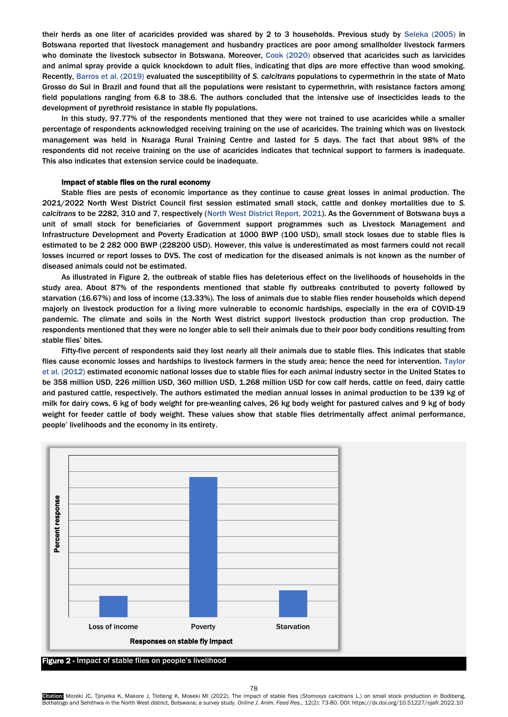their herds as one liter of acaricides provided was shared by 2 to 3 households. Previous study by Seleka (2005) in Botswana reported that livestock management and husbandry practices are poor among smallholder livestock farmers who dominate the livestock subsector in Botswana. Moreover, Cook (2020) observed that acaricides such as larvicides and animal spray provide a quick knockdown to adult flies, indicating that dips are more effective than wood smoking. Recently, Barros et al. (2019) evaluated the susceptibility of *S. calcitrans* populations to cypermethrin in the state of Mato Grosso do Sul in Brazil and found that all the populations were resistant to cypermethrin, with resistance factors among field populations ranging from 6.8 to 38.6. The authors concluded that the intensive use of insecticides leads to the development of pyrethroid resistance in stable fly populations.

In this study, 97.77% of the respondents mentioned that they were not trained to use acaricides while a smaller percentage of respondents acknowledged receiving training on the use of acaricides. The training which was on livestock management was held in Nxaraga Rural Training Centre and lasted for 5 days. The fact that about 98% of the respondents did not receive training on the use of acaricides indicates that technical support to farmers is inadequate. This also indicates that extension service could be inadequate.

# Impact of stable flies on the rural economy

Stable flies are pests of economic importance as they continue to cause great losses in animal production. The 2021/2022 North West District Council first session estimated small stock, cattle and donkey mortalities due to *S. calcitrans* to be 2282, 310 and 7, respectively (North West District Report, 2021). As the Government of Botswana buys a unit of small stock for beneficiaries of Government support programmes such as Livestock Management and Infrastructure Development and Poverty Eradication at 1000 BWP (100 USD), small stock losses due to stable flies is estimated to be 2 282 000 BWP (228200 USD). However, this value is underestimated as most farmers could not recall losses incurred or report losses to DVS. The cost of medication for the diseased animals is not known as the number of diseased animals could not be estimated.

As illustrated in Figure 2, the outbreak of stable flies has deleterious effect on the livelihoods of households in the study area. About 87% of the respondents mentioned that stable fly outbreaks contributed to poverty followed by starvation (16.67%) and loss of income (13.33%). The loss of animals due to stable flies render households which depend majorly on livestock production for a living more vulnerable to economic hardships, especially in the era of COVID-19 pandemic. The climate and soils in the North West district support livestock production than crop production. The respondents mentioned that they were no longer able to sell their animals due to their poor body conditions resulting from stable flies' bites.

Fifty-five percent of respondents said they lost nearly all their animals due to stable flies. This indicates that stable flies cause economic losses and hardships to livestock farmers in the study area; hence the need for intervention. Taylor et al. (2012) estimated economic national losses due to stable flies for each animal industry sector in the United States to be 358 million USD, 226 million USD, 360 million USD, 1.268 million USD for cow calf herds, cattle on feed, dairy cattle and pastured cattle, respectively. The authors estimated the median annual losses in animal production to be 139 kg of milk for dairy cows, 6 kg of body weight for pre-weanling calves, 26 kg body weight for pastured calves and 9 kg of body weight for feeder cattle of body weight. These values show that stable flies detrimentally affect animal performance, people' livelihoods and the economy in its entirety.



Figure 2 - Impact of stable flies on people's livelihood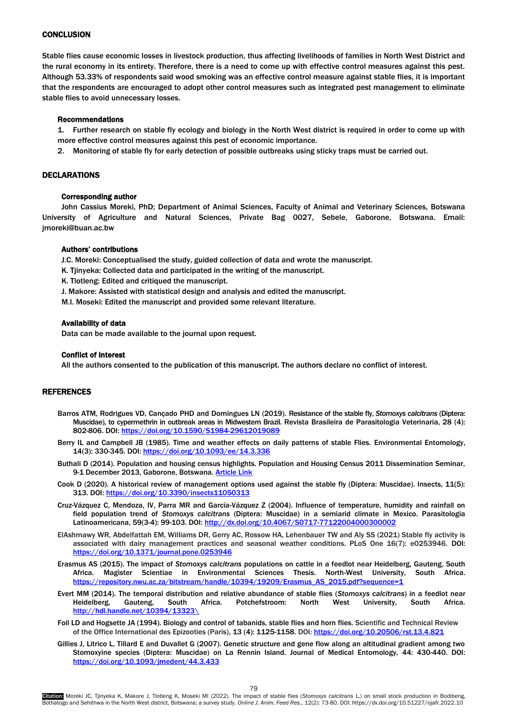# **CONCLUSION**

Stable flies cause economic losses in livestock production, thus affecting livelihoods of families in North West District and the rural economy in its entirety. Therefore, there is a need to come up with effective control measures against this pest. Although 53.33% of respondents said wood smoking was an effective control measure against stable flies, it is important that the respondents are encouraged to adopt other control measures such as integrated pest management to eliminate stable flies to avoid unnecessary losses.

# Recommendations

1. Further research on stable fly ecology and biology in the North West district is required in order to come up with more effective control measures against this pest of economic importance.

2. Monitoring of stable fly for early detection of possible outbreaks using sticky traps must be carried out.

# DECLARATIONS

## Corresponding author

John Cassius Moreki, PhD; Department of Animal Sciences, Faculty of Animal and Veterinary Sciences, Botswana University of Agriculture and Natural Sciences, Private Bag 0027, Sebele, Gaborone, Botswana. Email: jmoreki@buan.ac.bw

# Authors' contributions

J.C. Moreki: Conceptualised the study, guided collection of data and wrote the manuscript.

- K. Tjinyeka: Collected data and participated in the writing of the manuscript.
- K. Tlotleng: Edited and critiqued the manuscript.
- J. Makore: Assisted with statistical design and analysis and edited the manuscript.

M.I. Moseki: Edited the manuscript and provided some relevant literature.

# Availability of data

Data can be made available to the journal upon request.

## Conflict of interest

All the authors consented to the publication of this manuscript. The authors declare no conflict of interest.

# **REFERENCES**

- Barros ATM, Rodrigues VD, Cançado PHD and Domingues LN (2019). Resistance of the stable fly, *Stomoxys calcitrans* (Diptera: Muscidae), to cypermethrin in outbreak areas in Midwestern Brazil. Revista Brasileira de Parasitologia Veterinaria, 28 (4): 802-806. DOI[: https://doi.org/10.1590/S1984-29612019089](https://doi.org/10.1590/S1984-29612019089)
- Berry IL and Campbell JB (1985). Time and weather effects on daily patterns of stable Flies. Environmental Entomology, 14(3): 330-345. DOI:<https://doi.org/10.1093/ee/14.3.336>
- Buthali D (2014). Population and housing census highlights. Population and Housing Census 2011 Dissemination Seminar, 9-1 December 2013, Gaborone, Botswana[. Article Link](https://www.statsbots.org.bw/sites/default/files/publications/Population%20and%20Housing%20Census%202011%20%20Dissemination%20seminar%20report.pdf)
- Cook D (2020). A historical review of management options used against the stable fly (Diptera: Muscidae). Insects, 11(5): 313. DOI[: https://doi.org/10.3390/insects11050313](https://doi.org/10.3390/insects11050313)
- Cruz-Vázquez C, Mendoza, IV, Parra MR and García-Vázquez Z (2004). Influence of temperature, humidity and rainfall on field population trend of *Stomoxys calcitrans* (Diptera: Muscidae) in a semiarid climate in Mexico. Parasitologia Latinoamericana, 59(3-4): 99-103. DOI:<http://dx.doi.org/10.4067/S0717-77122004000300002>
- ElAshmawy WR, Abdelfattah EM, Williams DR, Gerry AC, Rossow HA, Lehenbauer TW and Aly SS (2021) Stable fly activity is associated with dairy management practices and seasonal weather conditions. PLoS One 16(7): e0253946. DOI: <https://doi.org/10.1371/journal.pone.0253946>
- Erasmus AS (2015). The impact of *Stomoxys calcitrans* populations on cattle in a feedlot near Heidelberg, Gauteng, South Africa. Magister Scientiae in Environmental Sciences Thesis. North-West University, South Africa. [https://repository.nwu.ac.za/bitstream/handle/10394/19209/Erasmus\\_AS\\_2015.pdf?sequence=1](https://repository.nwu.ac.za/bitstream/handle/10394/19209/Erasmus_AS_2015.pdf?sequence=1)
- Evert MM (2014). The temporal distribution and relative abundance of stable flies (*Stomoxys calcitrans*) in a feedlot near Heidelberg, Gauteng, South Africa. Potchefstroom: North West University, South Africa. [http://hdl.handle.net/10394/13323\](http://hdl.handle.net/10394/13323/)
- Foil LD and Hogsette JA (1994). Biology and control of tabanids, stable flies and horn flies. Scientific and Technical Review of the Office International des Epizooties (Paris), 13 (4): 1125-1158. DOI[: https://doi.org/10.20506/rst.13.4.821](https://doi.org/10.20506/rst.13.4.821)
- Gillies J, Litrico L, Tillard E and Duvallet G (2007). Genetic structure and gene flow along an altitudinal gradient among two Stomoxyine species (Diptera: Muscidae) on La Rennin Island. Journal of Medical Entomology*,* 44: 430-440. DOI: <https://doi.org/10.1093/jmedent/44.3.433>